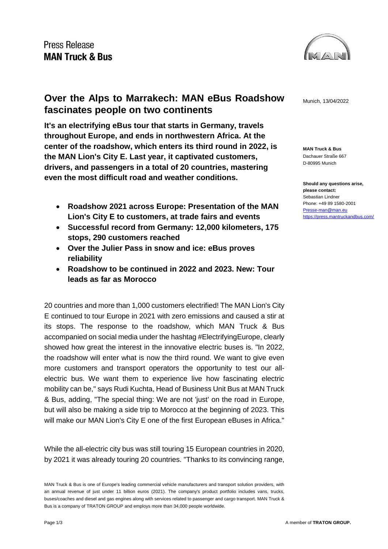### Press Release **MAN Truck & Bus**



**MAN Truck & Bus** Dachauer Straße 667 D-80995 Munich

**Should any questions arise, please contact:** Sebastian Lindner Phone: +49 89 1580-2001 [Presse-man@man.eu](mailto:Presse-man@man.eu) <https://press.mantruckandbus.com/>

## **Over the Alps to Marrakech: MAN eBus Roadshow** Munich, 13/04/2022 **fascinates people on two continents**

**It's an electrifying eBus tour that starts in Germany, travels throughout Europe, and ends in northwestern Africa. At the center of the roadshow, which enters its third round in 2022, is the MAN Lion's City E. Last year, it captivated customers, drivers, and passengers in a total of 20 countries, mastering even the most difficult road and weather conditions.**

- **Roadshow 2021 across Europe: Presentation of the MAN Lion's City E to customers, at trade fairs and events**
- **Successful record from Germany: 12,000 kilometers, 175 stops, 290 customers reached**
- **Over the Julier Pass in snow and ice: eBus proves reliability**
- **Roadshow to be continued in 2022 and 2023. New: Tour leads as far as Morocco**

20 countries and more than 1,000 customers electrified! The MAN Lion's City E continued to tour Europe in 2021 with zero emissions and caused a stir at its stops. The response to the roadshow, which MAN Truck & Bus accompanied on social media under the hashtag #ElectrifyingEurope, clearly showed how great the interest in the innovative electric buses is. "In 2022, the roadshow will enter what is now the third round. We want to give even more customers and transport operators the opportunity to test our allelectric bus. We want them to experience live how fascinating electric mobility can be," says Rudi Kuchta, Head of Business Unit Bus at MAN Truck & Bus, adding, "The special thing: We are not 'just' on the road in Europe, but will also be making a side trip to Morocco at the beginning of 2023. This will make our MAN Lion's City E one of the first European eBuses in Africa."

While the all-electric city bus was still touring 15 European countries in 2020, by 2021 it was already touring 20 countries. "Thanks to its convincing range,

MAN Truck & Bus is one of Europe's leading commercial vehicle manufacturers and transport solution providers, with an annual revenue of just under 11 billion euros (2021). The company's product portfolio includes vans, trucks, buses/coaches and diesel and gas engines along with services related to passenger and cargo transport. MAN Truck & Bus is a company of TRATON GROUP and employs more than 34,000 people worldwide.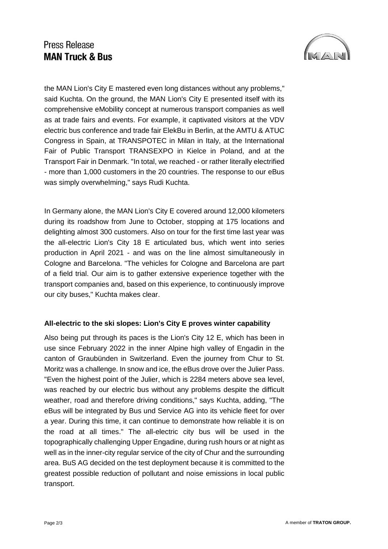## Press Release **MAN Truck & Bus**



the MAN Lion's City E mastered even long distances without any problems," said Kuchta. On the ground, the MAN Lion's City E presented itself with its comprehensive eMobility concept at numerous transport companies as well as at trade fairs and events. For example, it captivated visitors at the VDV electric bus conference and trade fair ElekBu in Berlin, at the AMTU & ATUC Congress in Spain, at TRANSPOTEC in Milan in Italy, at the International Fair of Public Transport TRANSEXPO in Kielce in Poland, and at the Transport Fair in Denmark. "In total, we reached - or rather literally electrified - more than 1,000 customers in the 20 countries. The response to our eBus was simply overwhelming," says Rudi Kuchta.

In Germany alone, the MAN Lion's City E covered around 12,000 kilometers during its roadshow from June to October, stopping at 175 locations and delighting almost 300 customers. Also on tour for the first time last year was the all-electric Lion's City 18 E articulated bus, which went into series production in April 2021 - and was on the line almost simultaneously in Cologne and Barcelona. "The vehicles for Cologne and Barcelona are part of a field trial. Our aim is to gather extensive experience together with the transport companies and, based on this experience, to continuously improve our city buses," Kuchta makes clear.

#### **All-electric to the ski slopes: Lion's City E proves winter capability**

Also being put through its paces is the Lion's City 12 E, which has been in use since February 2022 in the inner Alpine high valley of Engadin in the canton of Graubünden in Switzerland. Even the journey from Chur to St. Moritz was a challenge. In snow and ice, the eBus drove over the Julier Pass. "Even the highest point of the Julier, which is 2284 meters above sea level, was reached by our electric bus without any problems despite the difficult weather, road and therefore driving conditions," says Kuchta, adding, "The eBus will be integrated by Bus und Service AG into its vehicle fleet for over a year. During this time, it can continue to demonstrate how reliable it is on the road at all times." The all-electric city bus will be used in the topographically challenging Upper Engadine, during rush hours or at night as well as in the inner-city regular service of the city of Chur and the surrounding area. BuS AG decided on the test deployment because it is committed to the greatest possible reduction of pollutant and noise emissions in local public transport.